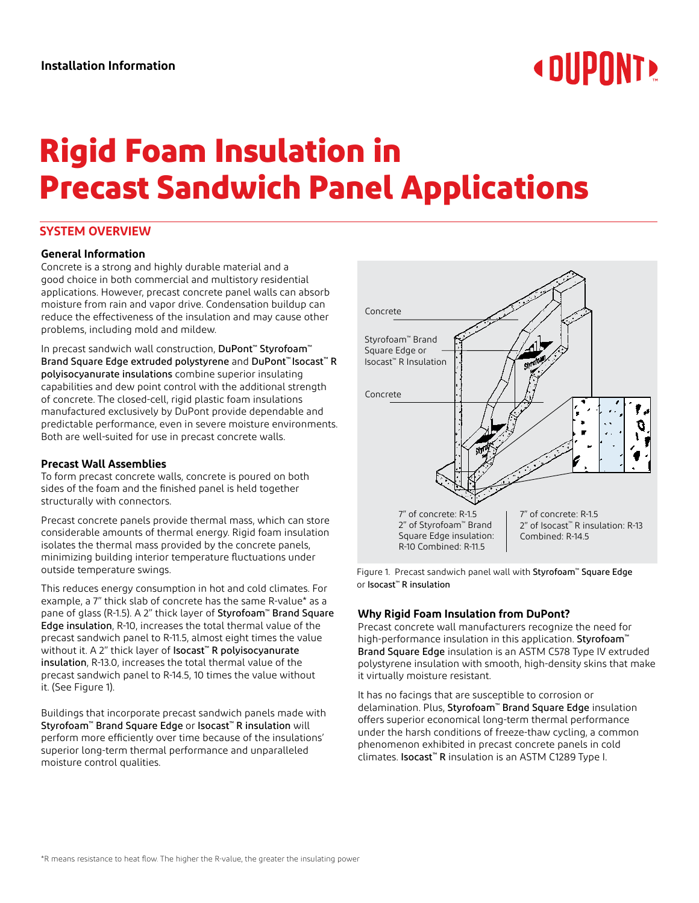# **« OUPONT »**

## **Rigid Foam Insulation in Precast Sandwich Panel Applications**

#### **SYSTEM OVERVIEW**

#### **General Information**

Concrete is a strong and highly durable material and a good choice in both commercial and multistory residential applications. However, precast concrete panel walls can absorb moisture from rain and vapor drive. Condensation buildup can reduce the effectiveness of the insulation and may cause other problems, including mold and mildew.

In precast sandwich wall construction, DuPont™ Styrofoam™ Brand Square Edge extruded polystyrene and DuPont™ Isocast™ R polyisocyanurate insulations combine superior insulating capabilities and dew point control with the additional strength of concrete. The closed-cell, rigid plastic foam insulations manufactured exclusively by DuPont provide dependable and predictable performance, even in severe moisture environments. Both are well-suited for use in precast concrete walls.

#### **Precast Wall Assemblies**

To form precast concrete walls, concrete is poured on both sides of the foam and the finished panel is held together structurally with connectors.

Precast concrete panels provide thermal mass, which can store considerable amounts of thermal energy. Rigid foam insulation isolates the thermal mass provided by the concrete panels, minimizing building interior temperature fluctuations under outside temperature swings.

This reduces energy consumption in hot and cold climates. For example, a 7" thick slab of concrete has the same R-value\* as a pane of glass (R-1.5). A 2" thick layer of Styrofoam™ Brand Square Edge insulation, R-10, increases the total thermal value of the precast sandwich panel to R-11.5, almost eight times the value without it. A 2" thick layer of Isocast™ R polyisocyanurate insulation, R-13.0, increases the total thermal value of the precast sandwich panel to R-14.5, 10 times the value without it. (See Figure 1).

Buildings that incorporate precast sandwich panels made with Styrofoam™ Brand Square Edge or Isocast™ R insulation will perform more efficiently over time because of the insulations' superior long-term thermal performance and unparalleled moisture control qualities.



Figure 1. Precast sandwich panel wall with Styrofoam™ Square Edge or Isocast™ R insulation

#### **Why Rigid Foam Insulation from DuPont?**

Precast concrete wall manufacturers recognize the need for high-performance insulation in this application. Styrofoam™ Brand Square Edge insulation is an ASTM C578 Type IV extruded polystyrene insulation with smooth, high-density skins that make it virtually moisture resistant.

It has no facings that are susceptible to corrosion or delamination. Plus, Styrofoam™ Brand Square Edge insulation offers superior economical long-term thermal performance under the harsh conditions of freeze-thaw cycling, a common phenomenon exhibited in precast concrete panels in cold climates. Isocast™ R insulation is an ASTM C1289 Type I.